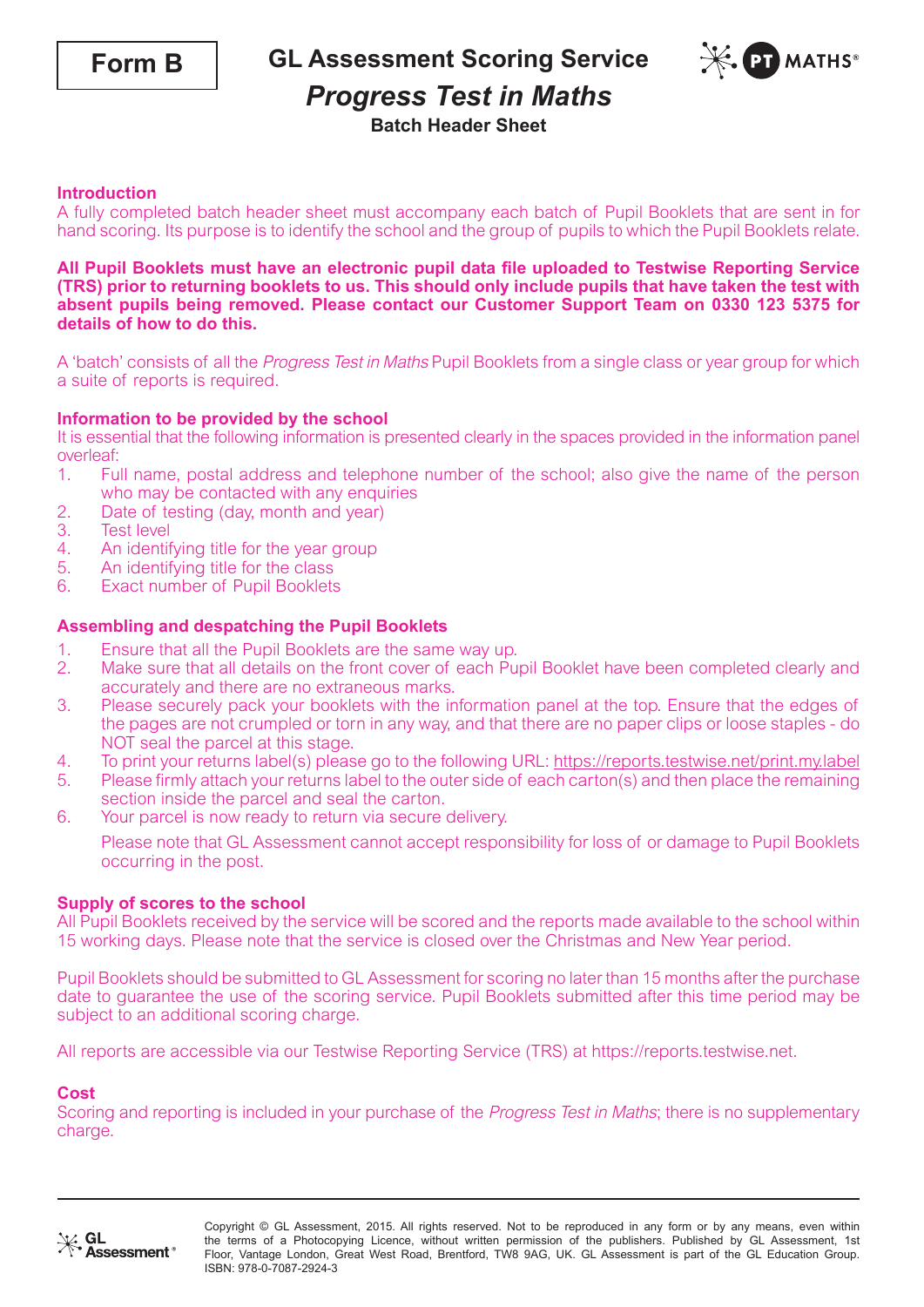**GL Assessment Scoring Service**



# *Progress Test in Maths*

## **Batch Header Sheet**

### **Introduction**

A fully completed batch header sheet must accompany each batch of Pupil Booklets that are sent in for hand scoring. Its purpose is to identify the school and the group of pupils to which the Pupil Booklets relate.

#### **All Pupil Booklets must have an electronic pupil data file uploaded to Testwise Reporting Service (TRS) prior to returning booklets to us. This should only include pupils that have taken the test with absent pupils being removed. Please contact our Customer Support Team on 0330 123 5375 for details of how to do this.**

A 'batch' consists of all the Progress Test in Maths Pupil Booklets from a single class or year group for which a suite of reports is required.

### **Information to be provided by the school**

It is essential that the following information is presented clearly in the spaces provided in the information panel overleaf:

- 1. Full name, postal address and telephone number of the school; also give the name of the person who may be contacted with any enquiries
- 2. Date of testing (day, month and year)<br>3. Test level
- **Test level**
- 4. An identifying title for the year group<br>5. An identifying title for the class
- An identifying title for the class
- 6. Exact number of Pupil Booklets

#### **Assembling and despatching the Pupil Booklets**

- 
- 1. Ensure that all the Pupil Booklets are the same way up.<br>2. Make sure that all details on the front cover of each Pu 2. Make sure that all details on the front cover of each Pupil Booklet have been completed clearly and accurately and there are no extraneous marks.
- 3. Please securely pack your booklets with the information panel at the top. Ensure that the edges of the pages are not crumpled or torn in any way, and that there are no paper clips or loose staples - do NOT seal the parcel at this stage.
- 4. To print your returns label(s) please go to the following URL: https://reports.testwise.net/print.my.label<br>5. Please firmly attach your returns label to the outer side of each carton(s) and then place the remaining
- 5. Please firmly attach your returns label to the outer side of each carton(s) and then place the remaining section inside the parcel and seal the carton.
- 6. Your parcel is now ready to return via secure delivery.

Please note that GL Assessment cannot accept responsibility for loss of or damage to Pupil Booklets occurring in the post.

#### **Supply of scores to the school**

All Pupil Booklets received by the service will be scored and the reports made available to the school within 15 working days. Please note that the service is closed over the Christmas and New Year period.

Pupil Booklets should be submitted to GL Assessment for scoring no later than 15 months after the purchase date to guarantee the use of the scoring service. Pupil Booklets submitted after this time period may be subject to an additional scoring charge.

All reports are accessible via our Testwise Reporting Service (TRS) at https://reports.testwise.net.

#### **Cost**

Scoring and reporting is included in your purchase of the *Progress Test in Maths*; there is no supplementary charge.